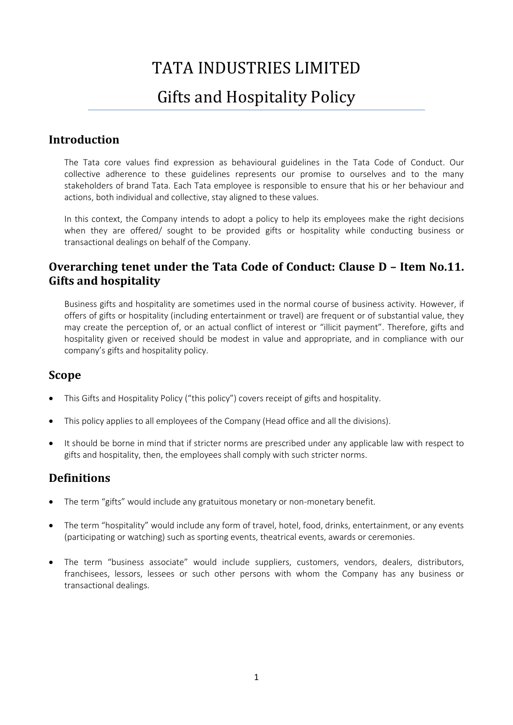# TATA INDUSTRIES LIMITED

# Gifts and Hospitality Policy

# **Introduction**

The Tata core values find expression as behavioural guidelines in the Tata Code of Conduct. Our collective adherence to these guidelines represents our promise to ourselves and to the many stakeholders of brand Tata. Each Tata employee is responsible to ensure that his or her behaviour and actions, both individual and collective, stay aligned to these values.

In this context, the Company intends to adopt a policy to help its employees make the right decisions when they are offered/ sought to be provided gifts or hospitality while conducting business or transactional dealings on behalf of the Company.

# **Overarching tenet under the Tata Code of Conduct: Clause D – Item No.11. Gifts and hospitality**

Business gifts and hospitality are sometimes used in the normal course of business activity. However, if offers of gifts or hospitality (including entertainment or travel) are frequent or of substantial value, they may create the perception of, or an actual conflict of interest or "illicit payment". Therefore, gifts and hospitality given or received should be modest in value and appropriate, and in compliance with our company's gifts and hospitality policy.

### **Scope**

- This Gifts and Hospitality Policy ("this policy") covers receipt of gifts and hospitality.
- This policy applies to all employees of the Company (Head office and all the divisions).
- It should be borne in mind that if stricter norms are prescribed under any applicable law with respect to gifts and hospitality, then, the employees shall comply with such stricter norms.

### **Definitions**

- The term "gifts" would include any gratuitous monetary or non-monetary benefit.
- The term "hospitality" would include any form of travel, hotel, food, drinks, entertainment, or any events (participating or watching) such as sporting events, theatrical events, awards or ceremonies.
- The term "business associate" would include suppliers, customers, vendors, dealers, distributors, franchisees, lessors, lessees or such other persons with whom the Company has any business or transactional dealings.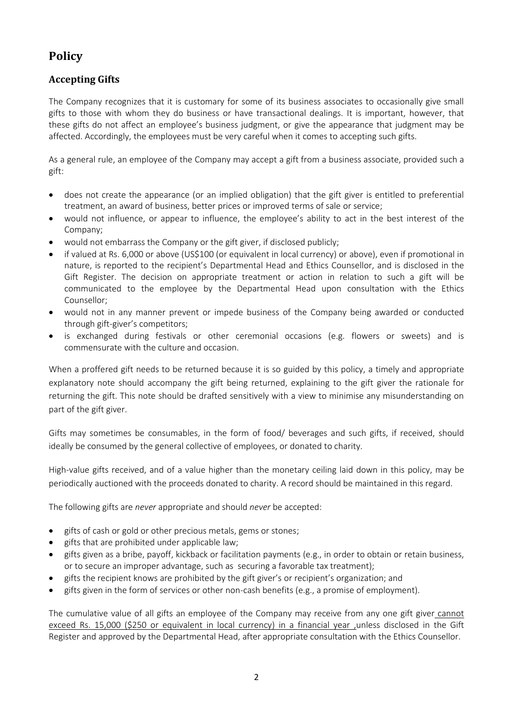# **Policy**

#### **Accepting Gifts**

The Company recognizes that it is customary for some of its business associates to occasionally give small gifts to those with whom they do business or have transactional dealings. It is important, however, that these gifts do not affect an employee's business judgment, or give the appearance that judgment may be affected. Accordingly, the employees must be very careful when it comes to accepting such gifts.

As a general rule, an employee of the Company may accept a gift from a business associate, provided such a gift:

- does not create the appearance (or an implied obligation) that the gift giver is entitled to preferential treatment, an award of business, better prices or improved terms of sale or service;
- would not influence, or appear to influence, the employee's ability to act in the best interest of the Company;
- would not embarrass the Company or the gift giver, if disclosed publicly;
- if valued at Rs. 6,000 or above (US\$100 (or equivalent in local currency) or above), even if promotional in nature, is reported to the recipient's Departmental Head and Ethics Counsellor, and is disclosed in the Gift Register. The decision on appropriate treatment or action in relation to such a gift will be communicated to the employee by the Departmental Head upon consultation with the Ethics Counsellor;
- would not in any manner prevent or impede business of the Company being awarded or conducted through gift-giver's competitors;
- is exchanged during festivals or other ceremonial occasions (e.g. flowers or sweets) and is commensurate with the culture and occasion.

When a proffered gift needs to be returned because it is so guided by this policy, a timely and appropriate explanatory note should accompany the gift being returned, explaining to the gift giver the rationale for returning the gift. This note should be drafted sensitively with a view to minimise any misunderstanding on part of the gift giver.

Gifts may sometimes be consumables, in the form of food/ beverages and such gifts, if received, should ideally be consumed by the general collective of employees, or donated to charity.

High-value gifts received, and of a value higher than the monetary ceiling laid down in this policy, may be periodically auctioned with the proceeds donated to charity. A record should be maintained in this regard.

The following gifts are *never* appropriate and should *never* be accepted:

- gifts of cash or gold or other precious metals, gems or stones;
- gifts that are prohibited under applicable law;
- gifts given as a bribe, payoff, kickback or facilitation payments (e.g., in order to obtain or retain business, or to secure an improper advantage, such as securing a favorable tax treatment);
- gifts the recipient knows are prohibited by the gift giver's or recipient's organization; and
- gifts given in the form of services or other non-cash benefits (e.g., a promise of employment).

The cumulative value of all gifts an employee of the Company may receive from any one gift giver cannot exceed Rs. 15,000 (\$250 or equivalent in local currency) in a financial year ,unless disclosed in the Gift Register and approved by the Departmental Head, after appropriate consultation with the Ethics Counsellor.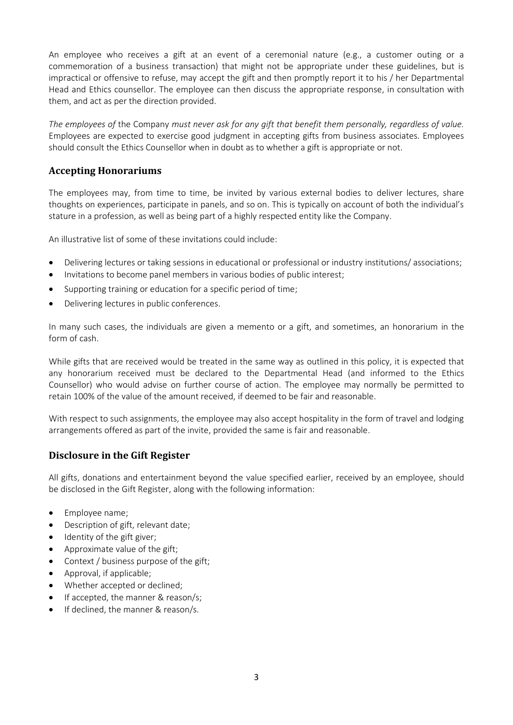An employee who receives a gift at an event of a ceremonial nature (e.g., a customer outing or a commemoration of a business transaction) that might not be appropriate under these guidelines, but is impractical or offensive to refuse, may accept the gift and then promptly report it to his / her Departmental Head and Ethics counsellor. The employee can then discuss the appropriate response, in consultation with them, and act as per the direction provided.

*The employees of* the Company *must never ask for any gift that benefit them personally, regardless of value.*  Employees are expected to exercise good judgment in accepting gifts from business associates. Employees should consult the Ethics Counsellor when in doubt as to whether a gift is appropriate or not.

#### **Accepting Honorariums**

The employees may, from time to time, be invited by various external bodies to deliver lectures, share thoughts on experiences, participate in panels, and so on. This is typically on account of both the individual's stature in a profession, as well as being part of a highly respected entity like the Company.

An illustrative list of some of these invitations could include:

- Delivering lectures or taking sessions in educational or professional or industry institutions/ associations;
- Invitations to become panel members in various bodies of public interest;
- Supporting training or education for a specific period of time;
- Delivering lectures in public conferences.

In many such cases, the individuals are given a memento or a gift, and sometimes, an honorarium in the form of cash.

While gifts that are received would be treated in the same way as outlined in this policy, it is expected that any honorarium received must be declared to the Departmental Head (and informed to the Ethics Counsellor) who would advise on further course of action. The employee may normally be permitted to retain 100% of the value of the amount received, if deemed to be fair and reasonable.

With respect to such assignments, the employee may also accept hospitality in the form of travel and lodging arrangements offered as part of the invite, provided the same is fair and reasonable.

#### **Disclosure in the Gift Register**

All gifts, donations and entertainment beyond the value specified earlier, received by an employee, should be disclosed in the Gift Register, along with the following information:

- Employee name;
- Description of gift, relevant date;
- Identity of the gift giver;
- Approximate value of the gift;
- Context / business purpose of the gift;
- Approval, if applicable;
- Whether accepted or declined;
- If accepted, the manner & reason/s;
- If declined, the manner & reason/s.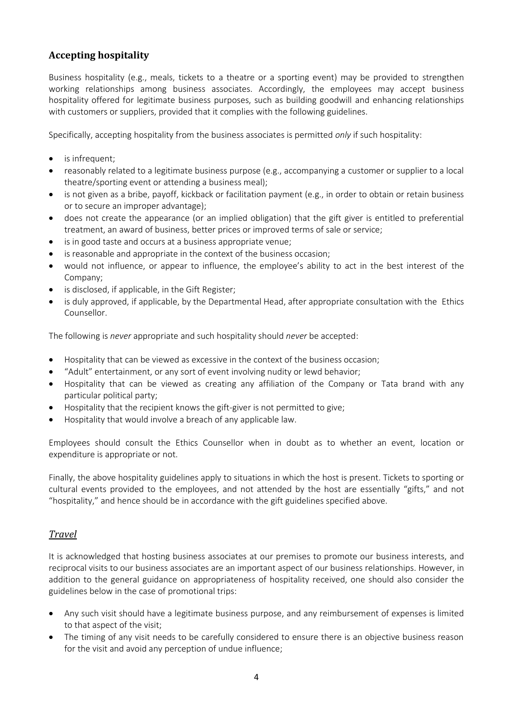#### **Accepting hospitality**

Business hospitality (e.g., meals, tickets to a theatre or a sporting event) may be provided to strengthen working relationships among business associates. Accordingly, the employees may accept business hospitality offered for legitimate business purposes, such as building goodwill and enhancing relationships with customers or suppliers, provided that it complies with the following guidelines.

Specifically, accepting hospitality from the business associates is permitted *only* if such hospitality:

- is infrequent;
- reasonably related to a legitimate business purpose (e.g., accompanying a customer or supplier to a local theatre/sporting event or attending a business meal);
- is not given as a bribe, payoff, kickback or facilitation payment (e.g., in order to obtain or retain business or to secure an improper advantage);
- does not create the appearance (or an implied obligation) that the gift giver is entitled to preferential treatment, an award of business, better prices or improved terms of sale or service;
- is in good taste and occurs at a business appropriate venue;
- is reasonable and appropriate in the context of the business occasion;
- would not influence, or appear to influence, the employee's ability to act in the best interest of the Company;
- is disclosed, if applicable, in the Gift Register;
- is duly approved, if applicable, by the Departmental Head, after appropriate consultation with the Ethics Counsellor.

The following is *never* appropriate and such hospitality should *never* be accepted:

- Hospitality that can be viewed as excessive in the context of the business occasion;
- "Adult" entertainment, or any sort of event involving nudity or lewd behavior;
- Hospitality that can be viewed as creating any affiliation of the Company or Tata brand with any particular political party;
- Hospitality that the recipient knows the gift-giver is not permitted to give;
- Hospitality that would involve a breach of any applicable law.

Employees should consult the Ethics Counsellor when in doubt as to whether an event, location or expenditure is appropriate or not.

Finally, the above hospitality guidelines apply to situations in which the host is present. Tickets to sporting or cultural events provided to the employees, and not attended by the host are essentially "gifts," and not "hospitality," and hence should be in accordance with the gift guidelines specified above.

#### *Travel*

It is acknowledged that hosting business associates at our premises to promote our business interests, and reciprocal visits to our business associates are an important aspect of our business relationships. However, in addition to the general guidance on appropriateness of hospitality received, one should also consider the guidelines below in the case of promotional trips:

- Any such visit should have a legitimate business purpose, and any reimbursement of expenses is limited to that aspect of the visit;
- The timing of any visit needs to be carefully considered to ensure there is an objective business reason for the visit and avoid any perception of undue influence;